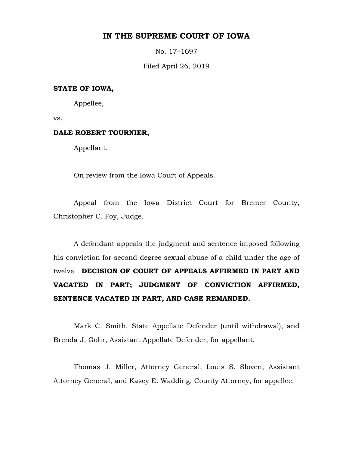## **IN THE SUPREME COURT OF IOWA**

No. 17–1697

Filed April 26, 2019

### **STATE OF IOWA,**

Appellee,

vs.

#### **DALE ROBERT TOURNIER,**

Appellant.

On review from the Iowa Court of Appeals.

Appeal from the Iowa District Court for Bremer County, Christopher C. Foy, Judge.

A defendant appeals the judgment and sentence imposed following his conviction for second-degree sexual abuse of a child under the age of twelve. **DECISION OF COURT OF APPEALS AFFIRMED IN PART AND VACATED IN PART; JUDGMENT OF CONVICTION AFFIRMED, SENTENCE VACATED IN PART, AND CASE REMANDED.**

Mark C. Smith, State Appellate Defender (until withdrawal), and Brenda J. Gohr, Assistant Appellate Defender, for appellant.

Thomas J. Miller, Attorney General, Louis S. Sloven, Assistant Attorney General, and Kasey E. Wadding, County Attorney, for appellee.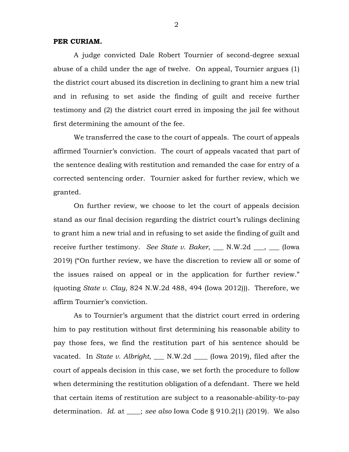#### **PER CURIAM.**

A judge convicted Dale Robert Tournier of second-degree sexual abuse of a child under the age of twelve. On appeal, Tournier argues (1) the district court abused its discretion in declining to grant him a new trial and in refusing to set aside the finding of guilt and receive further testimony and (2) the district court erred in imposing the jail fee without first determining the amount of the fee.

We transferred the case to the court of appeals. The court of appeals affirmed Tournier's conviction. The court of appeals vacated that part of the sentence dealing with restitution and remanded the case for entry of a corrected sentencing order. Tournier asked for further review, which we granted.

On further review, we choose to let the court of appeals decision stand as our final decision regarding the district court's rulings declining to grant him a new trial and in refusing to set aside the finding of guilt and receive further testimony. *See State v. Baker*, \_\_\_ N.W.2d \_\_\_, \_\_\_ (Iowa 2019) ("On further review, we have the discretion to review all or some of the issues raised on appeal or in the application for further review." (quoting *State v. Clay*, 824 N.W.2d 488, 494 (Iowa 2012))). Therefore, we affirm Tournier's conviction.

As to Tournier's argument that the district court erred in ordering him to pay restitution without first determining his reasonable ability to pay those fees, we find the restitution part of his sentence should be vacated. In *State v. Albright*, \_\_\_ N.W.2d \_\_\_\_ (Iowa 2019), filed after the court of appeals decision in this case, we set forth the procedure to follow when determining the restitution obligation of a defendant. There we held that certain items of restitution are subject to a reasonable-ability-to-pay determination. *Id.* at \_\_\_\_; *see also* Iowa Code § 910.2(1) (2019). We also

2